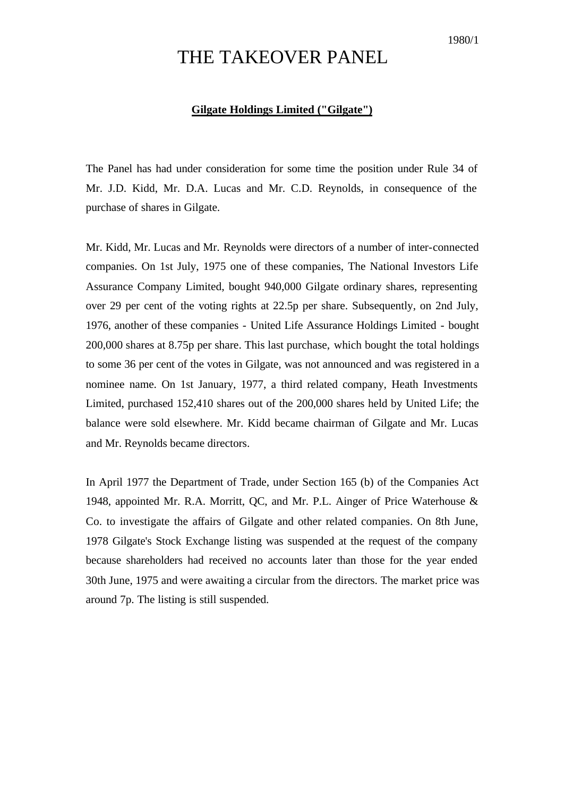## THE TAKEOVER PANEL

## **Gilgate Holdings Limited ("Gilgate")**

The Panel has had under consideration for some time the position under Rule 34 of Mr. J.D. Kidd, Mr. D.A. Lucas and Mr. C.D. Reynolds, in consequence of the purchase of shares in Gilgate.

Mr. Kidd, Mr. Lucas and Mr. Reynolds were directors of a number of inter-connected companies. On 1st July, 1975 one of these companies, The National Investors Life Assurance Company Limited, bought 940,000 Gilgate ordinary shares, representing over 29 per cent of the voting rights at 22.5p per share. Subsequently, on 2nd July, 1976, another of these companies - United Life Assurance Holdings Limited - bought 200,000 shares at 8.75p per share. This last purchase, which bought the total holdings to some 36 per cent of the votes in Gilgate, was not announced and was registered in a nominee name. On 1st January, 1977, a third related company, Heath Investments Limited, purchased 152,410 shares out of the 200,000 shares held by United Life; the balance were sold elsewhere. Mr. Kidd became chairman of Gilgate and Mr. Lucas and Mr. Reynolds became directors.

In April 1977 the Department of Trade, under Section 165 (b) of the Companies Act 1948, appointed Mr. R.A. Morritt, QC, and Mr. P.L. Ainger of Price Waterhouse & Co. to investigate the affairs of Gilgate and other related companies. On 8th June, 1978 Gilgate's Stock Exchange listing was suspended at the request of the company because shareholders had received no accounts later than those for the year ended 30th June, 1975 and were awaiting a circular from the directors. The market price was around 7p. The listing is still suspended.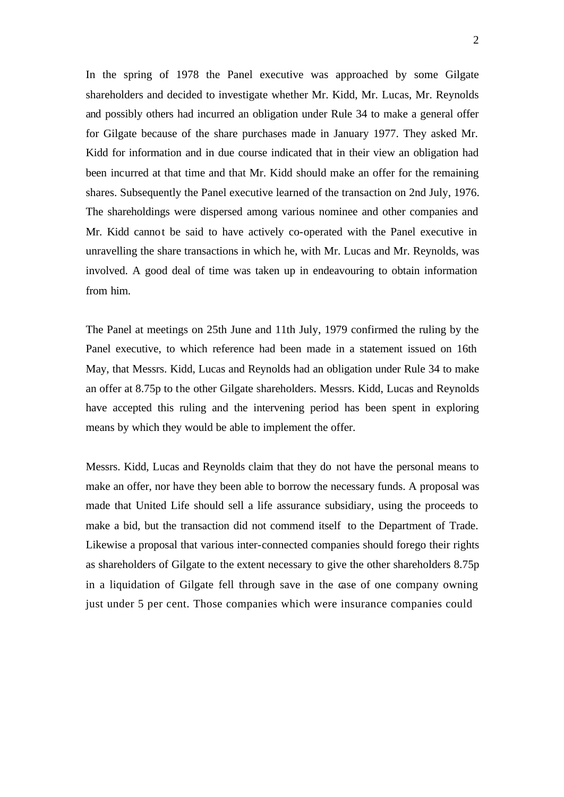In the spring of 1978 the Panel executive was approached by some Gilgate shareholders and decided to investigate whether Mr. Kidd, Mr. Lucas, Mr. Reynolds and possibly others had incurred an obligation under Rule 34 to make a general offer for Gilgate because of the share purchases made in January 1977. They asked Mr. Kidd for information and in due course indicated that in their view an obligation had been incurred at that time and that Mr. Kidd should make an offer for the remaining shares. Subsequently the Panel executive learned of the transaction on 2nd July, 1976. The shareholdings were dispersed among various nominee and other companies and Mr. Kidd cannot be said to have actively co-operated with the Panel executive in unravelling the share transactions in which he, with Mr. Lucas and Mr. Reynolds, was involved. A good deal of time was taken up in endeavouring to obtain information from him.

The Panel at meetings on 25th June and 11th July, 1979 confirmed the ruling by the Panel executive, to which reference had been made in a statement issued on 16th May, that Messrs. Kidd, Lucas and Reynolds had an obligation under Rule 34 to make an offer at 8.75p to the other Gilgate shareholders. Messrs. Kidd, Lucas and Reynolds have accepted this ruling and the intervening period has been spent in exploring means by which they would be able to implement the offer.

Messrs. Kidd, Lucas and Reynolds claim that they do not have the personal means to make an offer, nor have they been able to borrow the necessary funds. A proposal was made that United Life should sell a life assurance subsidiary, using the proceeds to make a bid, but the transaction did not commend itself to the Department of Trade. Likewise a proposal that various inter-connected companies should forego their rights as shareholders of Gilgate to the extent necessary to give the other shareholders 8.75p in a liquidation of Gilgate fell through save in the case of one company owning just under 5 per cent. Those companies which were insurance companies could